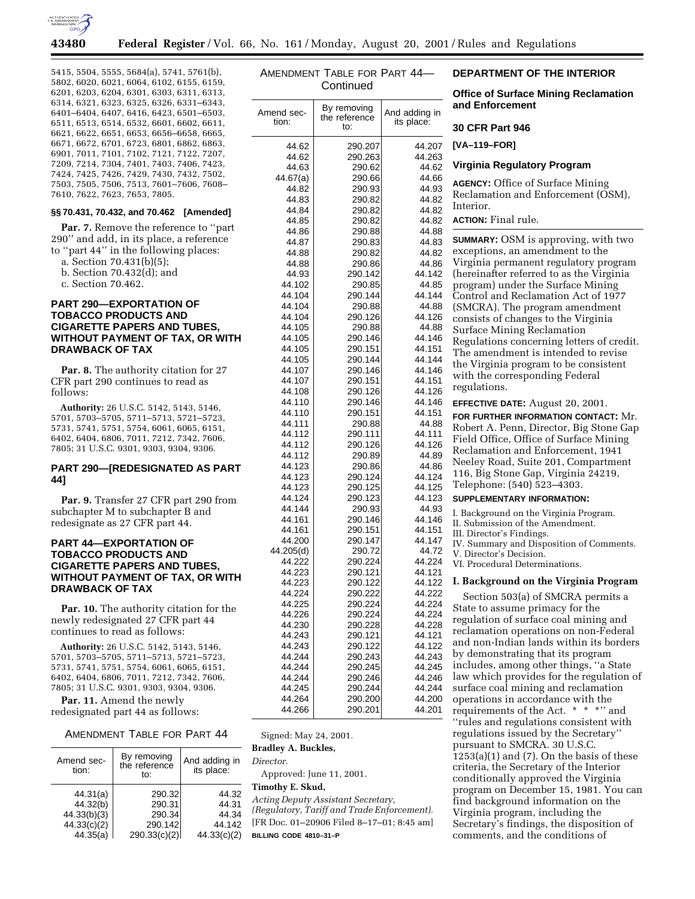

5415, 5504, 5555, 5684(a), 5741, 5761(b), 5802, 6020, 6021, 6064, 6102, 6155, 6159, 6201, 6203, 6204, 6301, 6303, 6311, 6313, 6314, 6321, 6323, 6325, 6326, 6331–6343, 6401–6404, 6407, 6416, 6423, 6501–6503, 6511, 6513, 6514, 6532, 6601, 6602, 6611, 6621, 6622, 6651, 6653, 6656–6658, 6665, 6671, 6672, 6701, 6723, 6801, 6862, 6863, 6901, 7011, 7101, 7102, 7121, 7122, 7207, 7209, 7214, 7304, 7401, 7403, 7406, 7423, 7424, 7425, 7426, 7429, 7430, 7432, 7502, 7503, 7505, 7506, 7513, 7601–7606, 7608– 7610, 7622, 7623, 7653, 7805.

### **§§ 70.431, 70.432, and 70.462 [Amended]**

**Par. 7.** Remove the reference to ''part 290'' and add, in its place, a reference to ''part 44'' in the following places:

a. Section 70.431(b)(5);

- b. Section 70.432(d); and
- c. Section 70.462.

## **PART 290—EXPORTATION OF TOBACCO PRODUCTS AND CIGARETTE PAPERS AND TUBES, WITHOUT PAYMENT OF TAX, OR WITH DRAWBACK OF TAX**

**Par. 8.** The authority citation for 27 CFR part 290 continues to read as follows:

**Authority:** 26 U.S.C. 5142, 5143, 5146, 5701, 5703–5705, 5711–5713, 5721–5723, 5731, 5741, 5751, 5754, 6061, 6065, 6151, 6402, 6404, 6806, 7011, 7212, 7342, 7606, 7805; 31 U.S.C. 9301, 9303, 9304, 9306.

### **PART 290—[REDESIGNATED AS PART 44]**

Par. 9. Transfer 27 CFR part 290 from subchapter M to subchapter B and redesignate as 27 CFR part 44.

## **PART 44—EXPORTATION OF TOBACCO PRODUCTS AND CIGARETTE PAPERS AND TUBES, WITHOUT PAYMENT OF TAX, OR WITH DRAWBACK OF TAX**

**Par. 10.** The authority citation for the newly redesignated 27 CFR part 44 continues to read as follows:

**Authority:** 26 U.S.C. 5142, 5143, 5146, 5701, 5703–5705, 5711–5713, 5721–5723, 5731, 5741, 5751, 5754, 6061, 6065, 6151, 6402, 6404, 6806, 7011, 7212, 7342, 7606, 7805; 31 U.S.C. 9301, 9303, 9304, 9306.

Par. 11. Amend the newly redesignated part 44 as follows:

AMENDMENT TABLE FOR PART 44

| Amend sec-<br>tion: | By removing<br>the reference<br>to: | And adding in<br>its place: |  |
|---------------------|-------------------------------------|-----------------------------|--|
| 44.31(a)            | 290.32                              | 44.32                       |  |
| 44.32(b)            | 290.31                              | 44.31                       |  |
| 44.33(b)(3)         | 290.34                              | 44.34                       |  |
| 44.33(c)(2)         | 290.142                             | 44.142                      |  |
| 44.35(a)            | 290.33(c)(2)                        | 44.33(c)(2)                 |  |

| Amendment Table for Part 44— |           |  |
|------------------------------|-----------|--|
|                              | Continued |  |

| Amend sec-<br>tion: | By removing<br>the reference<br>to: | And adding in<br>its place: |  |
|---------------------|-------------------------------------|-----------------------------|--|
| 44.62               | 290.207                             | 44.207                      |  |
| 44.62               | 290.263                             | 44.263                      |  |
| 44.63               | 290.62                              | 44.62                       |  |
| 44.67(a)            | 290.66                              | 44.66                       |  |
| 44.82               | 290.93                              | 44.93                       |  |
| 44.83               | 290.82                              | 44.82                       |  |
| 44.84               | 290.82                              | 44.82                       |  |
| 44.85               | 290.82                              | 44.82                       |  |
| 44.86               | 290.88                              | 44.88                       |  |
| 44.87               | 290.83                              | 44.83                       |  |
| 44.88               | 290.82                              | 44.82                       |  |
| 44.88               | 290.86                              | 44.86                       |  |
| 44.93               | 290.142                             | 44.142                      |  |
| 44.102              | 290.85                              | 44.85                       |  |
| 44.104              | 290.144                             | 44.144                      |  |
| 44.104              | 290.88                              | 44.88                       |  |
| 44.104              | 290.126                             | 44.126                      |  |
| 44.105              | 290.88                              | 44.88                       |  |
| 44.105              | 290.146                             | 44.146                      |  |
| 44.105              | 290.151                             | 44.151                      |  |
| 44.105              | 290.144                             | 44.144                      |  |
| 44.107              | 290.146                             | 44.146                      |  |
| 44.107              | 290.151                             | 44.151                      |  |
| 44.108              | 290.126                             | 44.126                      |  |
| 44.110              | 290.146                             | 44.146                      |  |
| 44.110              | 290.151                             | 44.151                      |  |
| 44.111              | 290.88                              | 44.88                       |  |
| 44.112              | 290.111                             | 44.111                      |  |
| 44.112              | 290.126                             | 44.126                      |  |
| 44.112              | 290.89                              | 44.89                       |  |
| 44.123              | 290.86                              | 44.86                       |  |
| 44.123              | 290.124                             | 44.124                      |  |
| 44.123              | 290.125                             | 44.125                      |  |
| 44.124              | 290.123                             | 44.123                      |  |
| 44.144<br>44.161    | 290.93                              | 44.93                       |  |
| 44.161              | 290.146<br>290.151                  | 44.146<br>44.151            |  |
| 44.200              | 290.147                             | 44.147                      |  |
| 44.205(d)           | 290.72                              | 44.72                       |  |
| 44.222              | 290.224                             | 44.224                      |  |
| 44.223              | 290.121                             | 44.121                      |  |
| 44.223              | 290.122                             | 44.122                      |  |
| 44.224              | 290.222                             | 44.222                      |  |
| 44.225              | 290.224                             | 44.224                      |  |
| 44.226              | 290.224                             | 44.224                      |  |
| 44.230              | 290.228                             | 44.228                      |  |
| 44.243              | 290.121                             | 44.121                      |  |
| 44.243              | 290.122                             | 44.122                      |  |
| 44.244              | 290.243                             | 44.243                      |  |
| 44.244              | 290.245                             | 44.245                      |  |
| 44.244              | 290.246                             | 44.246                      |  |
| 44.245              | 290.244                             | 44.244                      |  |
| 44.264              | 290.200                             | 44.200                      |  |
| 44.266              | 290.201                             | 44.201                      |  |

Signed: May 24, 2001. **Bradley A. Buckles,**

*Director.*

Approved: June 11, 2001.

# **Timothy E. Skud,**

*Acting Deputy Assistant Secretary, (Regulatory, Tariff and Trade Enforcement).* [FR Doc. 01–20906 Filed 8–17–01; 8:45 am] **BILLING CODE 4810–31–P**

### **DEPARTMENT OF THE INTERIOR**

**Office of Surface Mining Reclamation and Enforcement**

#### **30 CFR Part 946**

**[VA–119–FOR]**

#### **Virginia Regulatory Program**

**AGENCY:** Office of Surface Mining Reclamation and Enforcement (OSM), Interior. **ACTION:** Final rule.

| SUMMARY: OSM is approving, with two                                           |
|-------------------------------------------------------------------------------|
| exceptions, an amendment to the                                               |
| Virginia permanent regulatory program                                         |
| (hereinafter referred to as the Virginia<br>program) under the Surface Mining |
| Control and Reclamation Act of 1977                                           |
| (SMCRA). The program amendment                                                |
| consists of changes to the Virginia                                           |
| Surface Mining Reclamation                                                    |
| Regulations concerning letters of credit.                                     |
| The amendment is intended to revise                                           |
| the Virginia program to be consistent                                         |
| with the corresponding Federal                                                |
| regulations.                                                                  |
| <b>EFFECTIVE DATE: August 20, 2001.</b>                                       |
| FOR FURTHER INFORMATION CONTACT: Mr.                                          |
| Robert A. Penn, Director, Big Stone Gap                                       |
| Field Office, Office of Surface Mining<br>Reclamation and Enforcement, 1941   |
| Neeley Road, Suite 201, Compartment                                           |
| 116, Big Stone Gap, Virginia 24219,                                           |
| Telephone: (540) 523-4303.                                                    |
| SUPPLEMENTARY INFORMATION:                                                    |
| I. Background on the Virginia Program.                                        |
| II. Submission of the Amendment.                                              |
| III. Director's Findings.<br>IV. Summary and Disposition of Comments.         |
| V. Director's Decision.                                                       |
| VI. Procedural Determinations.                                                |
| I. Background on the Virginia Program                                         |
| Section 503(a) of SMCRA permits a                                             |
| State to assume primacy for the                                               |
| regulation of surface coal mining and                                         |
| reclamation operations on non-Federal                                         |
| and non-Indian lands within its borders<br>by demonstrating that its program  |
| includes, among other things, "a State                                        |
| law which provides for the regulation of                                      |
| surface coal mining and reclamation                                           |
| operations in accordance with the                                             |
| requirements of the Act. * * *" and                                           |
| "wiles and requisions consistent with                                         |

'rules and regulations consistent with regulations issued by the Secretary'' pursuant to SMCRA. 30 U.S.C.  $1253(a)(1)$  and  $(7)$ . On the basis of these criteria, the Secretary of the Interior conditionally approved the Virginia program on December 15, 1981. You can find background information on the Virginia program, including the Secretary's findings, the disposition of comments, and the conditions of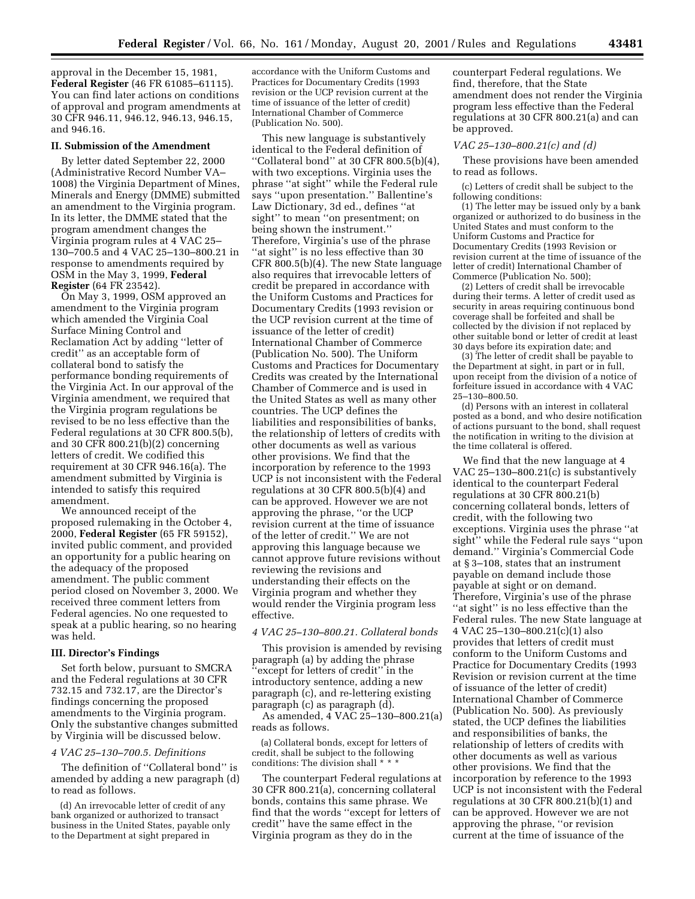approval in the December 15, 1981, **Federal Register** (46 FR 61085–61115). You can find later actions on conditions of approval and program amendments at 30 CFR 946.11, 946.12, 946.13, 946.15, and 946.16.

#### **II. Submission of the Amendment**

By letter dated September 22, 2000 (Administrative Record Number VA– 1008) the Virginia Department of Mines, Minerals and Energy (DMME) submitted an amendment to the Virginia program. In its letter, the DMME stated that the program amendment changes the Virginia program rules at 4 VAC 25– 130–700.5 and 4 VAC 25–130–800.21 in response to amendments required by OSM in the May 3, 1999, **Federal Register** (64 FR 23542).

On May 3, 1999, OSM approved an amendment to the Virginia program which amended the Virginia Coal Surface Mining Control and Reclamation Act by adding ''letter of credit'' as an acceptable form of collateral bond to satisfy the performance bonding requirements of the Virginia Act. In our approval of the Virginia amendment, we required that the Virginia program regulations be revised to be no less effective than the Federal regulations at 30 CFR 800.5(b), and 30 CFR 800.21(b)(2) concerning letters of credit. We codified this requirement at 30 CFR 946.16(a). The amendment submitted by Virginia is intended to satisfy this required amendment.

We announced receipt of the proposed rulemaking in the October 4, 2000, **Federal Register** (65 FR 59152), invited public comment, and provided an opportunity for a public hearing on the adequacy of the proposed amendment. The public comment period closed on November 3, 2000. We received three comment letters from Federal agencies. No one requested to speak at a public hearing, so no hearing was held.

### **III. Director's Findings**

Set forth below, pursuant to SMCRA and the Federal regulations at 30 CFR 732.15 and 732.17, are the Director's findings concerning the proposed amendments to the Virginia program. Only the substantive changes submitted by Virginia will be discussed below.

# *4 VAC 25–130–700.5. Definitions*

The definition of ''Collateral bond'' is amended by adding a new paragraph (d) to read as follows.

(d) An irrevocable letter of credit of any bank organized or authorized to transact business in the United States, payable only to the Department at sight prepared in

accordance with the Uniform Customs and Practices for Documentary Credits (1993 revision or the UCP revision current at the time of issuance of the letter of credit) International Chamber of Commerce (Publication No. 500).

This new language is substantively identical to the Federal definition of ''Collateral bond'' at 30 CFR 800.5(b)(4), with two exceptions. Virginia uses the phrase ''at sight'' while the Federal rule says ''upon presentation.'' Ballentine's Law Dictionary, 3d ed., defines ''at sight'' to mean ''on presentment; on being shown the instrument.'' Therefore, Virginia's use of the phrase "at sight" is no less effective than 30 CFR 800.5(b)(4). The new State language also requires that irrevocable letters of credit be prepared in accordance with the Uniform Customs and Practices for Documentary Credits (1993 revision or the UCP revision current at the time of issuance of the letter of credit) International Chamber of Commerce (Publication No. 500). The Uniform Customs and Practices for Documentary Credits was created by the International Chamber of Commerce and is used in the United States as well as many other countries. The UCP defines the liabilities and responsibilities of banks, the relationship of letters of credits with other documents as well as various other provisions. We find that the incorporation by reference to the 1993 UCP is not inconsistent with the Federal regulations at 30 CFR 800.5(b)(4) and can be approved. However we are not approving the phrase, ''or the UCP revision current at the time of issuance of the letter of credit.'' We are not approving this language because we cannot approve future revisions without reviewing the revisions and understanding their effects on the Virginia program and whether they would render the Virginia program less effective.

#### *4 VAC 25–130–800.21. Collateral bonds*

This provision is amended by revising paragraph (a) by adding the phrase 'except for letters of credit'' in the introductory sentence, adding a new paragraph (c), and re-lettering existing paragraph (c) as paragraph (d).

As amended, 4 VAC 25–130–800.21(a) reads as follows.

(a) Collateral bonds, except for letters of credit, shall be subject to the following conditions: The division shall \* \* \*

The counterpart Federal regulations at 30 CFR 800.21(a), concerning collateral bonds, contains this same phrase. We find that the words ''except for letters of credit'' have the same effect in the Virginia program as they do in the

counterpart Federal regulations. We find, therefore, that the State amendment does not render the Virginia program less effective than the Federal regulations at 30 CFR 800.21(a) and can be approved.

#### *VAC 25–130–800.21(c) and (d)*

These provisions have been amended to read as follows.

(c) Letters of credit shall be subject to the following conditions:

(1) The letter may be issued only by a bank organized or authorized to do business in the United States and must conform to the Uniform Customs and Practice for Documentary Credits (1993 Revision or revision current at the time of issuance of the letter of credit) International Chamber of Commerce (Publication No. 500);

(2) Letters of credit shall be irrevocable during their terms. A letter of credit used as security in areas requiring continuous bond coverage shall be forfeited and shall be collected by the division if not replaced by other suitable bond or letter of credit at least 30 days before its expiration date; and

(3) The letter of credit shall be payable to the Department at sight, in part or in full, upon receipt from the division of a notice of forfeiture issued in accordance with 4 VAC 25–130–800.50.

(d) Persons with an interest in collateral posted as a bond, and who desire notification of actions pursuant to the bond, shall request the notification in writing to the division at the time collateral is offered.

We find that the new language at 4 VAC 25–130–800.21(c) is substantively identical to the counterpart Federal regulations at 30 CFR 800.21(b) concerning collateral bonds, letters of credit, with the following two exceptions. Virginia uses the phrase ''at sight'' while the Federal rule says ''upon demand.'' Virginia's Commercial Code at § 3–108, states that an instrument payable on demand include those payable at sight or on demand. Therefore, Virginia's use of the phrase ''at sight'' is no less effective than the Federal rules. The new State language at 4 VAC 25–130–800.21(c)(1) also provides that letters of credit must conform to the Uniform Customs and Practice for Documentary Credits (1993 Revision or revision current at the time of issuance of the letter of credit) International Chamber of Commerce (Publication No. 500). As previously stated, the UCP defines the liabilities and responsibilities of banks, the relationship of letters of credits with other documents as well as various other provisions. We find that the incorporation by reference to the 1993 UCP is not inconsistent with the Federal regulations at 30 CFR 800.21(b)(1) and can be approved. However we are not approving the phrase, ''or revision current at the time of issuance of the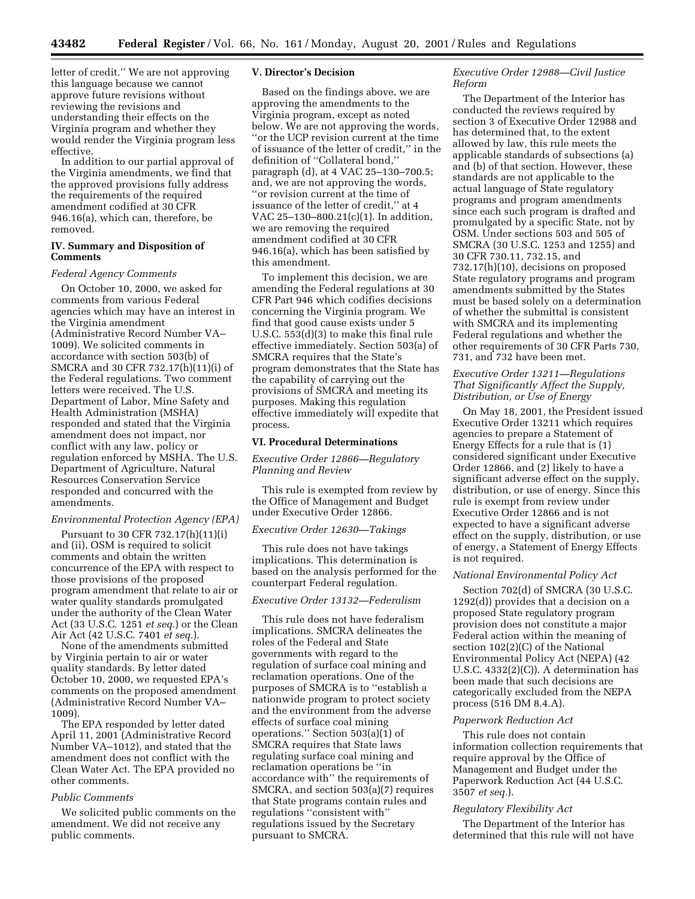letter of credit.'' We are not approving this language because we cannot approve future revisions without reviewing the revisions and understanding their effects on the Virginia program and whether they would render the Virginia program less effective.

In addition to our partial approval of the Virginia amendments, we find that the approved provisions fully address the requirements of the required amendment codified at 30 CFR 946.16(a), which can, therefore, be removed.

#### **IV. Summary and Disposition of Comments**

#### *Federal Agency Comments*

On October 10, 2000, we asked for comments from various Federal agencies which may have an interest in the Virginia amendment (Administrative Record Number VA– 1009). We solicited comments in accordance with section 503(b) of SMCRA and 30 CFR 732.17(h)(11)(i) of the Federal regulations. Two comment letters were received. The U.S. Department of Labor, Mine Safety and Health Administration (MSHA) responded and stated that the Virginia amendment does not impact, nor conflict with any law, policy or regulation enforced by MSHA. The U.S. Department of Agriculture, Natural Resources Conservation Service responded and concurred with the amendments.

### *Environmental Protection Agency (EPA)*

Pursuant to 30 CFR 732.17(h)(11)(i) and (ii), OSM is required to solicit comments and obtain the written concurrence of the EPA with respect to those provisions of the proposed program amendment that relate to air or water quality standards promulgated under the authority of the Clean Water Act (33 U.S.C. 1251 *et seq.*) or the Clean Air Act (42 U.S.C. 7401 *et seq.*).

None of the amendments submitted by Virginia pertain to air or water quality standards. By letter dated October 10, 2000, we requested EPA's comments on the proposed amendment (Administrative Record Number VA– 1009).

The EPA responded by letter dated April 11, 2001 (Administrative Record Number VA–1012), and stated that the amendment does not conflict with the Clean Water Act. The EPA provided no other comments.

### *Public Comments*

We solicited public comments on the amendment. We did not receive any public comments.

### **V. Director's Decision**

Based on the findings above, we are approving the amendments to the Virginia program, except as noted below. We are not approving the words, ''or the UCP revision current at the time of issuance of the letter of credit,'' in the definition of ''Collateral bond,'' paragraph (d), at 4 VAC 25–130–700.5; and, we are not approving the words, ''or revision current at the time of issuance of the letter of credit,'' at 4 VAC 25–130–800.21(c)(1). In addition, we are removing the required amendment codified at 30 CFR 946.16(a), which has been satisfied by this amendment.

To implement this decision, we are amending the Federal regulations at 30 CFR Part 946 which codifies decisions concerning the Virginia program. We find that good cause exists under 5 U.S.C. 553(d)(3) to make this final rule effective immediately. Section 503(a) of SMCRA requires that the State's program demonstrates that the State has the capability of carrying out the provisions of SMCRA and meeting its purposes. Making this regulation effective immediately will expedite that process.

### **VI. Procedural Determinations**

*Executive Order 12866—Regulatory Planning and Review*

This rule is exempted from review by the Office of Management and Budget under Executive Order 12866.

### *Executive Order 12630—Takings*

This rule does not have takings implications. This determination is based on the analysis performed for the counterpart Federal regulation.

# *Executive Order 13132—Federalism*

This rule does not have federalism implications. SMCRA delineates the roles of the Federal and State governments with regard to the regulation of surface coal mining and reclamation operations. One of the purposes of SMCRA is to ''establish a nationwide program to protect society and the environment from the adverse effects of surface coal mining operations.'' Section 503(a)(1) of SMCRA requires that State laws regulating surface coal mining and reclamation operations be ''in accordance with'' the requirements of SMCRA, and section 503(a)(7) requires that State programs contain rules and regulations ''consistent with'' regulations issued by the Secretary pursuant to SMCRA.

### *Executive Order 12988—Civil Justice Reform*

The Department of the Interior has conducted the reviews required by section 3 of Executive Order 12988 and has determined that, to the extent allowed by law, this rule meets the applicable standards of subsections (a) and (b) of that section. However, these standards are not applicable to the actual language of State regulatory programs and program amendments since each such program is drafted and promulgated by a specific State, not by OSM. Under sections 503 and 505 of SMCRA (30 U.S.C. 1253 and 1255) and 30 CFR 730.11, 732.15, and 732.17(h)(10), decisions on proposed State regulatory programs and program amendments submitted by the States must be based solely on a determination of whether the submittal is consistent with SMCRA and its implementing Federal regulations and whether the other requirements of 30 CFR Parts 730, 731, and 732 have been met.

# *Executive Order 13211—Regulations That Significantly Affect the Supply, Distribution, or Use of Energy*

On May 18, 2001, the President issued Executive Order 13211 which requires agencies to prepare a Statement of Energy Effects for a rule that is (1) considered significant under Executive Order 12866, and (2) likely to have a significant adverse effect on the supply, distribution, or use of energy. Since this rule is exempt from review under Executive Order 12866 and is not expected to have a significant adverse effect on the supply, distribution, or use of energy, a Statement of Energy Effects is not required.

#### *National Environmental Policy Act*

Section 702(d) of SMCRA (30 U.S.C. 1292(d)) provides that a decision on a proposed State regulatory program provision does not constitute a major Federal action within the meaning of section 102(2)(C) of the National Environmental Policy Act (NEPA) (42 U.S.C. 4332(2)(C)). A determination has been made that such decisions are categorically excluded from the NEPA process (516 DM 8.4.A).

#### *Paperwork Reduction Act*

This rule does not contain information collection requirements that require approval by the Office of Management and Budget under the Paperwork Reduction Act (44 U.S.C. 3507 *et seq.*).

#### *Regulatory Flexibility Act*

The Department of the Interior has determined that this rule will not have